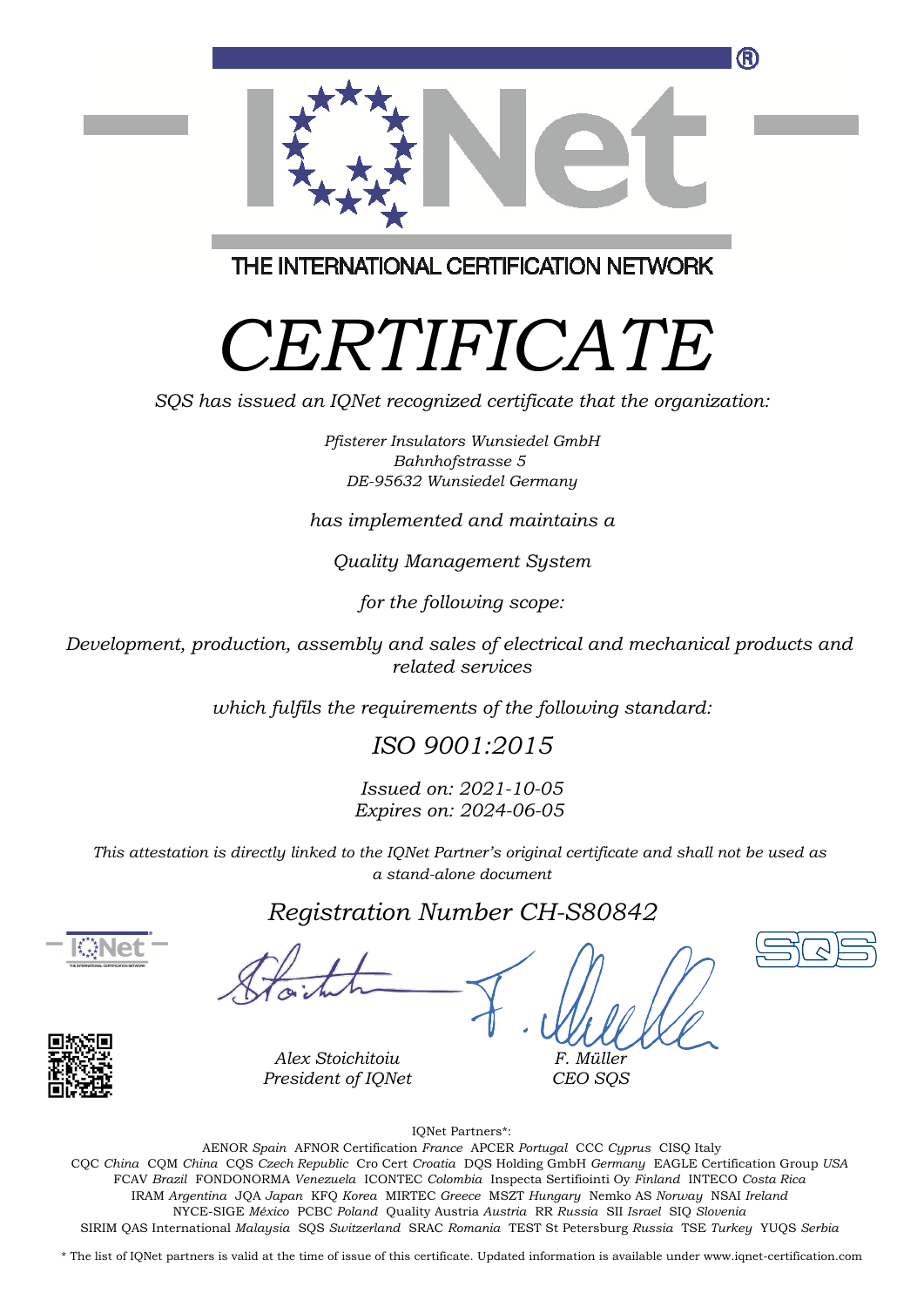

THE INTERNATIONAL CERTIFICATION NETWORK

# *CERTIFICATE*

*SQS has issued an IQNet recognized certificate that the organization:*

*Pfisterer Insulators Wunsiedel GmbH Bahnhofstrasse 5 DE-95632 Wunsiedel Germany*

*has implemented and maintains a*

*Quality Management System*

*for the following scope:*

*Development, production, assembly and sales of electrical and mechanical products and related services*

*which fulfils the requirements of the following standard:*

### *ISO 9001:2015*

*Issued on: 2021-10-05 Expires on: 2024-06-05*

*This attestation is directly linked to the IQNet Partner's original certificate and shall not be used as a stand-alone document*

### *Registration Number CH-S80842*





*F. Müller CEO SQS*

IQNet Partners\*:

This annex is only valid in connection with the above-mentioned certificate. FCAV *Brazil* FONDONORMA *Venezuela* ICONTEC *Colombia* Inspecta Sertifiointi Oy *Finland* INTECO *Costa Rica* AENOR *Spain* AFNOR Certification *France* APCER *Portugal* CCC *Cyprus* CISQ Italy CQC *China* CQM *China* CQS *Czech Republic* Cro Cert *Croatia* DQS Holding GmbH *Germany* EAGLE Certification Group *USA* IRAM *Argentina* JQA *Japan* KFQ *Korea* MIRTEC *Greece* MSZT *Hungary* Nemko AS *Norway* NSAI *Ireland* NYCE-SIGE *México* PCBC *Poland* Quality Austria *Austria* RR *Russia* SII *Israel* SIQ *Slovenia* SIRIM QAS International *Malaysia* SQS *Switzerland* SRAC *Romania* TEST St Petersburg *Russia* TSE *Turkey* YUQS *Serbia*

\* The list of IQNet partners is valid at the time of issue of this certificate. Updated information is available under www.iqnet-certification.com

*Alex Stoichitoiu President of IQNet*